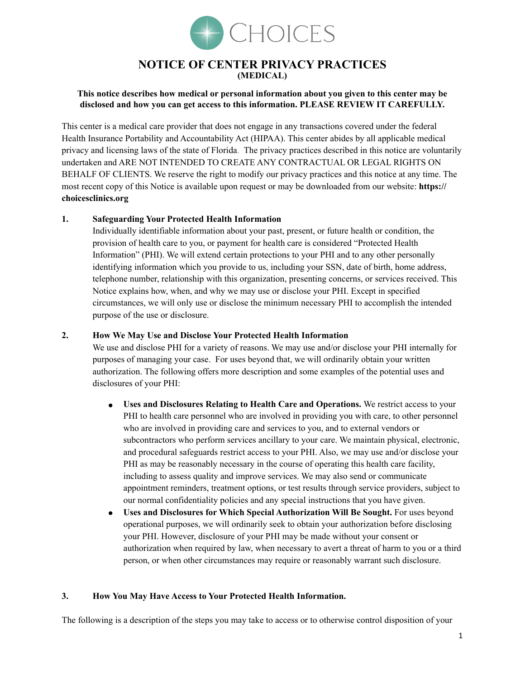

# **NOTICE OF CENTER PRIVACY PRACTICES (MEDICAL)**

# **This notice describes how medical or personal information about you given to this center may be disclosed and how you can get access to this information. PLEASE REVIEW IT CAREFULLY.**

This center is a medical care provider that does not engage in any transactions covered under the federal Health Insurance Portability and Accountability Act (HIPAA). This center abides by all applicable medical privacy and licensing laws of the state of Florida. The privacy practices described in this notice are voluntarily undertaken and ARE NOT INTENDED TO CREATE ANY CONTRACTUAL OR LEGAL RIGHTS ON BEHALF OF CLIENTS. We reserve the right to modify our privacy practices and this notice at any time. The most recent copy of this Notice is available upon request or may be downloaded from our website: **https:// choicesclinics.org**

# **1. Safeguarding Your Protected Health Information**

Individually identifiable information about your past, present, or future health or condition, the provision of health care to you, or payment for health care is considered "Protected Health Information" (PHI). We will extend certain protections to your PHI and to any other personally identifying information which you provide to us, including your SSN, date of birth, home address, telephone number, relationship with this organization, presenting concerns, or services received. This Notice explains how, when, and why we may use or disclose your PHI. Except in specified circumstances, we will only use or disclose the minimum necessary PHI to accomplish the intended purpose of the use or disclosure.

### **2. How We May Use and Disclose Your Protected Health Information**

We use and disclose PHI for a variety of reasons. We may use and/or disclose your PHI internally for purposes of managing your case. For uses beyond that, we will ordinarily obtain your written authorization. The following offers more description and some examples of the potential uses and disclosures of your PHI:

- **Uses and Disclosures Relating to Health Care and Operations.** We restrict access to your PHI to health care personnel who are involved in providing you with care, to other personnel who are involved in providing care and services to you, and to external vendors or subcontractors who perform services ancillary to your care. We maintain physical, electronic, and procedural safeguards restrict access to your PHI. Also, we may use and/or disclose your PHI as may be reasonably necessary in the course of operating this health care facility, including to assess quality and improve services. We may also send or communicate appointment reminders, treatment options, or test results through service providers, subject to our normal confidentiality policies and any special instructions that you have given.
- **Uses and Disclosures for Which Special Authorization Will Be Sought.** For uses beyond operational purposes, we will ordinarily seek to obtain your authorization before disclosing your PHI. However, disclosure of your PHI may be made without your consent or authorization when required by law, when necessary to avert a threat of harm to you or a third person, or when other circumstances may require or reasonably warrant such disclosure.

#### **3. How You May Have Access to Your Protected Health Information.**

The following is a description of the steps you may take to access or to otherwise control disposition of your